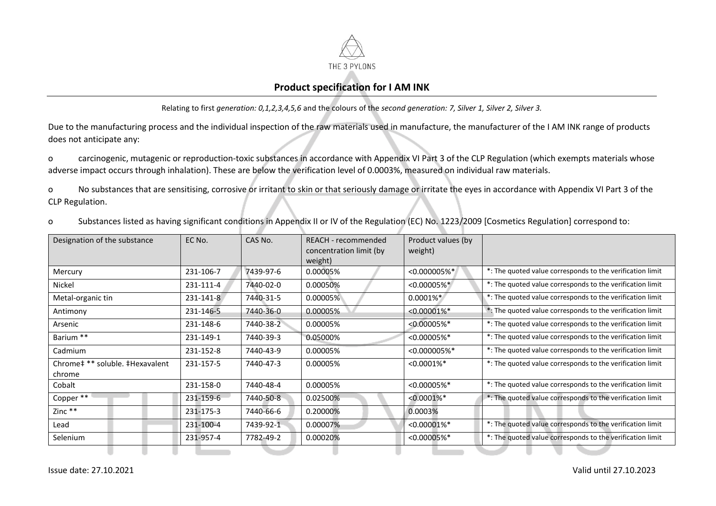

## **Product specification for I AM INK**

Relating to first *generation: 0,1,2,3,4,5,6* and the colours of the *second generation: 7, Silver 1, Silver 2, Silver 3.*

Due to the manufacturing process and the individual inspection of the raw materials used in manufacture, the manufacturer of the I AM INK range of products does not anticipate any:

o carcinogenic, mutagenic or reproduction-toxic substances in accordance with Appendix VI Part 3 of the CLP Regulation (which exempts materials whose adverse impact occurs through inhalation). These are below the verification level of 0.0003%, measured on individual raw materials.

o No substances that are sensitising, corrosive or irritant to skin or that seriously damage or irritate the eyes in accordance with Appendix VI Part 3 of the CLP Regulation.

o Substances listed as having significant conditions in Appendix II or IV of the Regulation (EC) No. 1223/2009 [Cosmetics Regulation] correspond to:

| Designation of the substance              | EC No.    | CAS No.   | REACH - recommended<br>concentration limit (by<br>weight) | Product values (by<br>weight) |                                                           |
|-------------------------------------------|-----------|-----------|-----------------------------------------------------------|-------------------------------|-----------------------------------------------------------|
| Mercury                                   | 231-106-7 | 7439-97-6 | 0.00005%                                                  | $< 0.000005%$ *               | *: The quoted value corresponds to the verification limit |
| Nickel                                    | 231-111-4 | 7440-02-0 | 0.00050%                                                  | $< 0.00005%$ *                | *: The quoted value corresponds to the verification limit |
| Metal-organic tin                         | 231-141-8 | 7440-31-5 | 0.00005%                                                  | $0.0001\%$ *                  | *: The quoted value corresponds to the verification limit |
| Antimony                                  | 231-146-5 | 7440-36-0 | 0.00005%                                                  | $< 0.00001\%$ <sup>*</sup>    | *: The quoted value corresponds to the verification limit |
| Arsenic                                   | 231-148-6 | 7440-38-2 | 0.00005%                                                  | $< 0.00005%$ *                | *: The quoted value corresponds to the verification limit |
| Barium **                                 | 231-149-1 | 7440-39-3 | 0.05000%                                                  | < 0.00005%                    | *: The quoted value corresponds to the verification limit |
| Cadmium                                   | 231-152-8 | 7440-43-9 | 0.00005%                                                  | < 0.000005%                   | *: The quoted value corresponds to the verification limit |
| Chrome# ** soluble. #Hexavalent<br>chrome | 231-157-5 | 7440-47-3 | 0.00005%                                                  | $< 0.0001\%$ *                | *: The quoted value corresponds to the verification limit |
| Cobalt                                    | 231-158-0 | 7440-48-4 | 0.00005%                                                  | $< 0.00005%$ *                | *: The quoted value corresponds to the verification limit |
| Copper **                                 | 231-159-6 | 7440-50-8 | 0.02500%                                                  | $< 0.0001\%$ *                | *: The quoted value corresponds to the verification limit |
| Zinc **                                   | 231-175-3 | 7440-66-6 | 0.20000%                                                  | 0.0003%                       |                                                           |
| Lead                                      | 231-100-4 | 7439-92-1 | 0.00007%                                                  | $< 0.00001\%$ *               | *: The quoted value corresponds to the verification limit |
| Selenium                                  | 231-957-4 | 7782-49-2 | 0.00020%                                                  | < 0.00005%                    | *: The quoted value corresponds to the verification limit |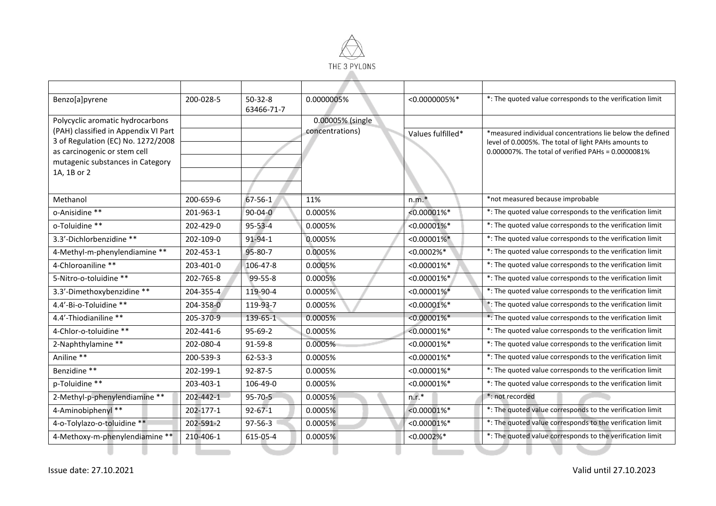

| Benzo[a]pyrene                                  | 200-028-5 | $50-32-8$<br>63466-71-7 | 0.0000005%       | $< 0.0000005%$ *           | *: The quoted value corresponds to the verification limit |
|-------------------------------------------------|-----------|-------------------------|------------------|----------------------------|-----------------------------------------------------------|
| Polycyclic aromatic hydrocarbons                |           |                         | 0.00005% (single |                            |                                                           |
| (PAH) classified in Appendix VI Part            |           |                         | concentrations)  | Values fulfilled*          | *measured individual concentrations lie below the defined |
| 3 of Regulation (EC) No. 1272/2008              |           |                         |                  |                            | level of 0.0005%. The total of light PAHs amounts to      |
| as carcinogenic or stem cell                    |           |                         |                  |                            | 0.000007%. The total of verified PAHs = 0.0000081%        |
| mutagenic substances in Category<br>1A, 1B or 2 |           |                         |                  |                            |                                                           |
|                                                 |           |                         |                  |                            |                                                           |
|                                                 |           |                         |                  |                            |                                                           |
| Methanol                                        | 200-659-6 | 67-56-1                 | 11%              | $n.m.*$                    | *not measured because improbable                          |
| o-Anisidine **                                  | 201-963-1 | $90 - 04 - 0$           | 0.0005%          | $< 0.00001\%$ *            | *: The quoted value corresponds to the verification limit |
| o-Toluidine **                                  | 202-429-0 | $95 - 53 - 4$           | 0.0005%          | $< 0.00001\%$ *            | *: The quoted value corresponds to the verification limit |
| 3.3'-Dichlorbenzidine **                        | 202-109-0 | 91-94-1                 | 0.0005%          | $< 0.00001\%$ *            | *: The quoted value corresponds to the verification limit |
| 4-Methyl-m-phenylendiamine **                   | 202-453-1 | 95-80-7                 | 0.0005%          | $< 0.0002%$ *              | *: The quoted value corresponds to the verification limit |
| 4-Chloroaniline **                              | 203-401-0 | 106-47-8                | 0.0005%          | $< 0.00001\%$ *            | *: The quoted value corresponds to the verification limit |
| 5-Nitro-o-toluidine **                          | 202-765-8 | $99 - 55 - 8$           | 0.0005%          | $< 0.00001\%$ *            | *: The quoted value corresponds to the verification limit |
| 3.3'-Dimethoxybenzidine **                      | 204-355-4 | 119-90-4                | 0.0005%          | $< 0.00001\%$ *            | *: The quoted value corresponds to the verification limit |
| 4.4'-Bi-o-Toluidine **                          | 204-358-0 | 119-93-7                | 0.0005%          | $< 0.00001\%$ *            | *: The quoted value corresponds to the verification limit |
| 4.4'-Thiodianiline **                           | 205-370-9 | 139-65-1                | 0.0005%          | $< 0.00001\%$ *            | *: The quoted value corresponds to the verification limit |
| 4-Chlor-o-toluidine **                          | 202-441-6 | $95-69-2$               | 0.0005%          | $< 0.00001\%$ *            | *: The quoted value corresponds to the verification limit |
| 2-Naphthylamine **                              | 202-080-4 | 91-59-8                 | 0.0005%          | $< 0.00001\%$ *            | *: The quoted value corresponds to the verification limit |
| Aniline **                                      | 200-539-3 | $62 - 53 - 3$           | 0.0005%          | $< 0.00001\%$ <sup>*</sup> | *: The quoted value corresponds to the verification limit |
| Benzidine **                                    | 202-199-1 | 92-87-5                 | 0.0005%          | $< 0.00001\%$ *            | *: The quoted value corresponds to the verification limit |
| p-Toluidine **                                  | 203-403-1 | 106-49-0                | 0.0005%          | $< 0.00001\%$ *            | *: The quoted value corresponds to the verification limit |
| 2-Methyl-p-phenylendiamine **                   | 202-442-1 | $95 - 70 - 5$           | 0.0005%          | $n.r.*$                    | *: not recorded                                           |
| 4-Aminobiphenyl **                              | 202-177-1 | $92 - 67 - 1$           | 0.0005%          | $< 0.00001\%$ *            | *: The quoted value corresponds to the verification limit |
| 4-o-Tolylazo-o-toluidine **                     | 202-591-2 | $97 - 56 - 3$           | 0.0005%          | $< 0.00001\%$ *            | *: The quoted value corresponds to the verification limit |
| 4-Methoxy-m-phenylendiamine **                  | 210-406-1 | 615-05-4                | 0.0005%          | $< 0.0002\%$ *             | *: The quoted value corresponds to the verification limit |
|                                                 |           |                         |                  |                            |                                                           |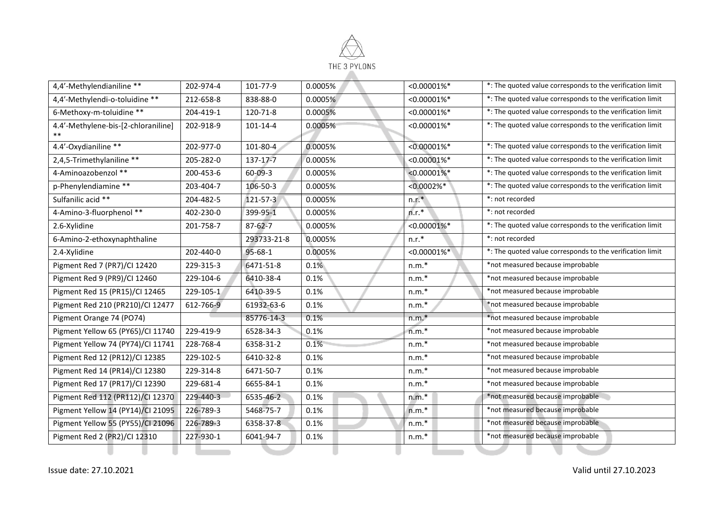

| 4,4'-Methylendianiline **           | 202-974-4 | 101-77-9       | 0.0005% | $< 0.00001\%$ * | *: The quoted value corresponds to the verification limit |
|-------------------------------------|-----------|----------------|---------|-----------------|-----------------------------------------------------------|
| 4,4'-Methylendi-o-toluidine **      | 212-658-8 | 838-88-0       | 0.0005% | $< 0.00001\%$ * | *: The quoted value corresponds to the verification limit |
| 6-Methoxy-m-toluidine **            | 204-419-1 | 120-71-8       | 0.0005% | $< 0.00001\%$ * | *: The quoted value corresponds to the verification limit |
| 4.4'-Methylene-bis-[2-chloraniline] | 202-918-9 | $101 - 14 - 4$ | 0.0005% | $< 0.00001\%$ * | *: The quoted value corresponds to the verification limit |
| $***$                               |           |                |         |                 |                                                           |
| 4.4'-Oxydianiline **                | 202-977-0 | 101-80-4       | 0.0005% | $< 0.00001\%$ * | *: The quoted value corresponds to the verification limit |
| 2,4,5-Trimethylaniline **           | 205-282-0 | 137-17-7       | 0.0005% | $< 0.00001\%$ * | *: The quoted value corresponds to the verification limit |
| 4-Aminoazobenzol **                 | 200-453-6 | $60 - 09 - 3$  | 0.0005% | $< 0.00001\%$ * | *: The quoted value corresponds to the verification limit |
| p-Phenylendiamine **                | 203-404-7 | 106-50-3       | 0.0005% | $< 0.0002%$ *   | *: The quoted value corresponds to the verification limit |
| Sulfanilic acid **                  | 204-482-5 | 121-57-3       | 0.0005% | $n.r.*$         | *: not recorded                                           |
| 4-Amino-3-fluorphenol **            | 402-230-0 | 399-95-1       | 0.0005% | $n.r.*$         | *: not recorded                                           |
| 2.6-Xylidine                        | 201-758-7 | $87 - 62 - 7$  | 0.0005% | $< 0.00001\%$ * | *: The quoted value corresponds to the verification limit |
| 6-Amino-2-ethoxynaphthaline         |           | 293733-21-8    | 0.0005% | $n.r.*$         | *: not recorded                                           |
| 2.4-Xylidine                        | 202-440-0 | 95-68-1        | 0.0005% | $< 0.00001\%$ * | *: The quoted value corresponds to the verification limit |
| Pigment Red 7 (PR7)/Cl 12420        | 229-315-3 | 6471-51-8      | 0.1%    | $n.m.*$         | *not measured because improbable                          |
| Pigment Red 9 (PR9)/CI 12460        | 229-104-6 | 6410-38-4      | 0.1%    | $n.m.*$         | *not measured because improbable                          |
| Pigment Red 15 (PR15)/CI 12465      | 229-105-1 | 6410-39-5      | 0.1%    | $n.m.*$         | *not measured because improbable                          |
| Pigment Red 210 (PR210)/CI 12477    | 612-766-9 | 61932-63-6     | 0.1%    | $n.m.*$         | *not measured because improbable                          |
| Pigment Orange 74 (PO74)            |           | 85776-14-3     | 0.1%    | $n.m.*$         | *not measured because improbable                          |
| Pigment Yellow 65 (PY65)/Cl 11740   | 229-419-9 | 6528-34-3      | 0.1%    | $n.m.*$         | *not measured because improbable                          |
| Pigment Yellow 74 (PY74)/CI 11741   | 228-768-4 | 6358-31-2      | 0.1%    | $n.m.*$         | *not measured because improbable                          |
| Pigment Red 12 (PR12)/Cl 12385      | 229-102-5 | 6410-32-8      | 0.1%    | $n.m.*$         | *not measured because improbable                          |
| Pigment Red 14 (PR14)/Cl 12380      | 229-314-8 | 6471-50-7      | 0.1%    | $n.m.*$         | *not measured because improbable                          |
| Pigment Red 17 (PR17)/Cl 12390      | 229-681-4 | 6655-84-1      | 0.1%    | $n.m.*$         | *not measured because improbable                          |
| Pigment Red 112 (PR112)/Cl 12370    | 229-440-3 | 6535-46-2      | 0.1%    | $n.m.*$         | *not measured because improbable                          |
| Pigment Yellow 14 (PY14)/CI 21095   | 226-789-3 | 5468-75-7      | 0.1%    | $n.m.*$         | *not measured because improbable                          |
| Pigment Yellow 55 (PY55)/CI 21096   | 226-789-3 | 6358-37-8      | 0.1%    | $n.m.*$         | *not measured because improbable                          |
| Pigment Red 2 (PR2)/Cl 12310        | 227-930-1 | 6041-94-7      | 0.1%    | $n.m.*$         | *not measured because improbable                          |
|                                     |           |                |         |                 |                                                           |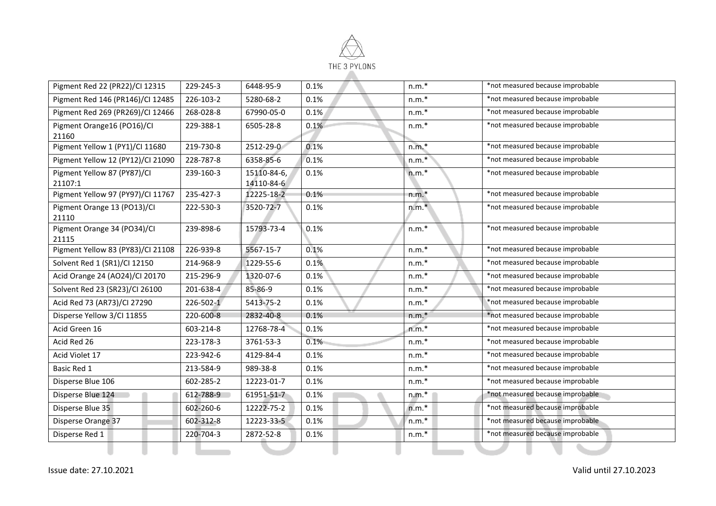

| Pigment Red 22 (PR22)/CI 12315         | 229-245-3 | 6448-95-9                 | 0.1% | $n.m.*$ | *not measured because improbable |
|----------------------------------------|-----------|---------------------------|------|---------|----------------------------------|
| Pigment Red 146 (PR146)/Cl 12485       | 226-103-2 | 5280-68-2                 | 0.1% | $n.m.*$ | *not measured because improbable |
| Pigment Red 269 (PR269)/CI 12466       | 268-028-8 | 67990-05-0                | 0.1% | $n.m.*$ | *not measured because improbable |
| Pigment Orange16 (PO16)/CI<br>21160    | 229-388-1 | 6505-28-8                 | 0.1% | $n.m.*$ | *not measured because improbable |
| Pigment Yellow 1 (PY1)/CI 11680        | 219-730-8 | 2512-29-0                 | 0.1% | $n.m.*$ | *not measured because improbable |
| Pigment Yellow 12 (PY12)/Cl 21090      | 228-787-8 | 6358-85-6                 | 0.1% | $n.m.*$ | *not measured because improbable |
| Pigment Yellow 87 (PY87)/Cl<br>21107:1 | 239-160-3 | 15110-84-6,<br>14110-84-6 | 0.1% | $n.m.*$ | *not measured because improbable |
| Pigment Yellow 97 (PY97)/CI 11767      | 235-427-3 | 12225-18-2                | 0.1% | $n.m.*$ | *not measured because improbable |
| Pigment Orange 13 (PO13)/CI<br>21110   | 222-530-3 | 3520-72-7                 | 0.1% | $n.m.*$ | *not measured because improbable |
| Pigment Orange 34 (PO34)/Cl<br>21115   | 239-898-6 | 15793-73-4                | 0.1% | $n.m.*$ | *not measured because improbable |
| Pigment Yellow 83 (PY83)/CI 21108      | 226-939-8 | 5567-15-7                 | 0.1% | $n.m.*$ | *not measured because improbable |
| Solvent Red 1 (SR1)/CI 12150           | 214-968-9 | 1229-55-6                 | 0.1% | $n.m.*$ | *not measured because improbable |
| Acid Orange 24 (AO24)/Cl 20170         | 215-296-9 | 1320-07-6                 | 0.1% | $n.m.*$ | *not measured because improbable |
| Solvent Red 23 (SR23)/CI 26100         | 201-638-4 | 85-86-9                   | 0.1% | $n.m.*$ | *not measured because improbable |
| Acid Red 73 (AR73)/Cl 27290            | 226-502-1 | 5413-75-2                 | 0.1% | $n.m.*$ | *not measured because improbable |
| Disperse Yellow 3/CI 11855             | 220-600-8 | 2832-40-8                 | 0.1% | $n.m.*$ | *not measured because improbable |
| Acid Green 16                          | 603-214-8 | 12768-78-4                | 0.1% | $n.m.*$ | *not measured because improbable |
| Acid Red 26                            | 223-178-3 | 3761-53-3                 | 0.1% | $n.m.*$ | *not measured because improbable |
| Acid Violet 17                         | 223-942-6 | 4129-84-4                 | 0.1% | $n.m.*$ | *not measured because improbable |
| Basic Red 1                            | 213-584-9 | 989-38-8                  | 0.1% | $n.m.*$ | *not measured because improbable |
| Disperse Blue 106                      | 602-285-2 | 12223-01-7                | 0.1% | $n.m.*$ | *not measured because improbable |
| Disperse Blue 124                      | 612-788-9 | 61951-51-7                | 0.1% | $n.m.*$ | *not measured because improbable |
| Disperse Blue 35                       | 602-260-6 | 12222-75-2                | 0.1% | $n.m.*$ | *not measured because improbable |
| Disperse Orange 37                     | 602-312-8 | 12223-33-5                | 0.1% | $n.m.*$ | *not measured because improbable |
| Disperse Red 1                         | 220-704-3 | 2872-52-8                 | 0.1% | $n.m.*$ | *not measured because improbable |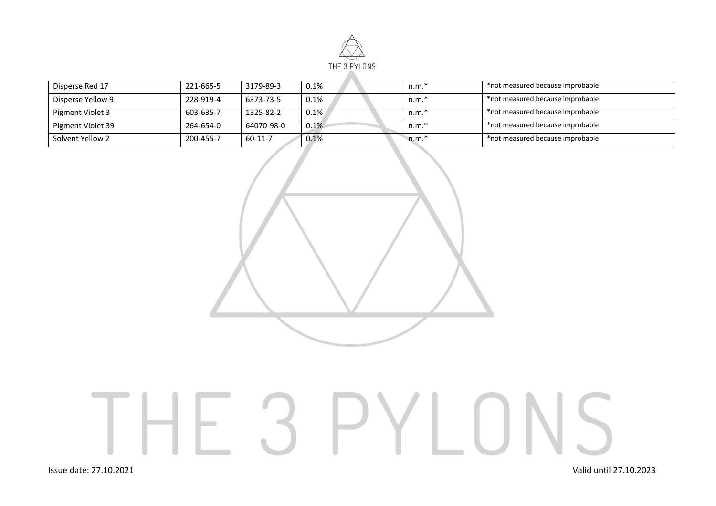

| Disperse Red 17   | 221-665-5 | 3179-89-3  | 0.1% | $n.m.*$ | *not measured because improbable |
|-------------------|-----------|------------|------|---------|----------------------------------|
| Disperse Yellow 9 | 228-919-4 | 6373-73-5  | 0.1% | $n.m.*$ | *not measured because improbable |
| Pigment Violet 3  | 603-635-7 | 1325-82-2  | 0.1% | $n.m.*$ | *not measured because improbable |
| Pigment Violet 39 | 264-654-0 | 64070-98-0 | 0.1% | $n.m.*$ | *not measured because improbable |
| Solvent Yellow 2  | 200-455-7 | 60-11-7    | 0.1% | $n.m.*$ | *not measured because improbable |



## THE 3 PYLONS

Issue date: 27.10.2021 Valid until 27.10.2023